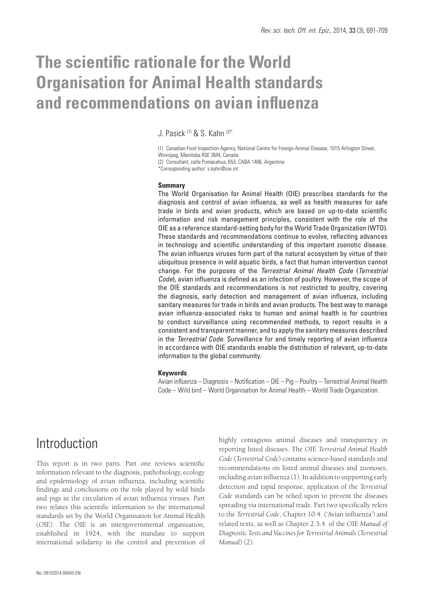# **The scientific rationale for the World Organisation for Animal Health standards and recommendations on avian influenza**

J. Pasick (1) & S. Kahn (2)\*

(1) Canadian Food Inspection Agency, National Centre for Foreign Animal Disease, 1015 Arlington Street, Winnipeg, Manitoba R3E 3M4, Canada

(2) Consultant, calle Pumacahua, 653. CABA 1406, Argentina \*Corresponding author: s.kahn@oie.int

#### **Summary**

The World Organisation for Animal Health (OIE) prescribes standards for the diagnosis and control of avian influenza, as well as health measures for safe trade in birds and avian products, which are based on up-to-date scientific information and risk management principles, consistent with the role of the OIE as a reference standard-setting body for the World Trade Organization (WTO). These standards and recommendations continue to evolve, reflecting advances in technology and scientific understanding of this important zoonotic disease. The avian influenza viruses form part of the natural ecosystem by virtue of their ubiquitous presence in wild aquatic birds, a fact that human intervention cannot change. For the purposes of the *Terrestrial Animal Health Code* (*Terrestrial Code*), avian influenza is defined as an infection of poultry. However, the scope of the OIE standards and recommendations is not restricted to poultry, covering the diagnosis, early detection and management of avian influenza, including sanitary measures for trade in birds and avian products. The best way to manage avian influenza-associated risks to human and animal health is for countries to conduct surveillance using recommended methods, to report results in a consistent and transparent manner, and to apply the sanitary measures described in the *Terrestrial Code*. Surveillance for and timely reporting of avian influenza in accordance with OIE standards enable the distribution of relevant, up-to-date information to the global community.

#### **Keywords**

Avian influenza – Diagnosis – Notification – OIE – Pig – Poultry – Terrestrial Animal Health Code – Wild bird – World Organisation for Animal Health – World Trade Organization.

## Introduction

This report is in two parts. Part one reviews scientific information relevant to the diagnosis, pathobiology, ecology and epidemiology of avian influenza, including scientific findings and conclusions on the role played by wild birds and pigs in the circulation of avian influenza viruses. Part two relates this scientific information to the international standards set by the World Organisation for Animal Health (OIE). The OIE is an intergovernmental organisation, established in 1924, with the mandate to support international solidarity in the control and prevention of highly contagious animal diseases and transparency in reporting listed diseases. The OIE *Terrestrial Animal Health Code* (*Terrestrial Code*) contains science-based standards and recommendations on listed animal diseases and zoonoses, including avian influenza (1). In addition to supporting early detection and rapid response, application of the *Terrestrial Code* standards can be relied upon to prevent the diseases spreading via international trade. Part two specifically refers to the *Terrestrial Code*, Chapter 10.4. ('Avian influenza') and related texts, as well as Chapter 2.3.4. of the OIE *Manual of Diagnostic Tests and Vaccines for Terrestrial Animals* (*Terrestrial Manual*) (2).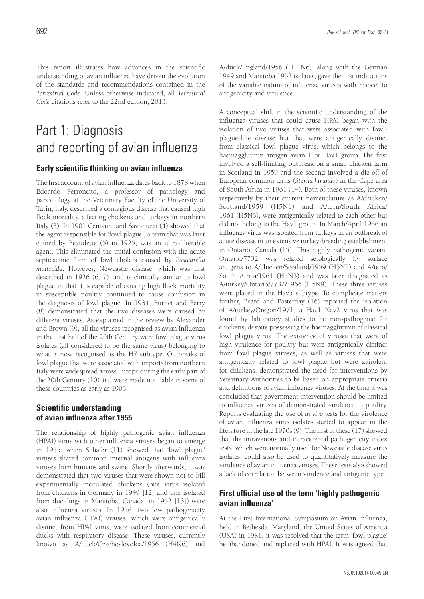This report illustrates how advances in the scientific understanding of avian influenza have driven the evolution of the standards and recommendations contained in the *Terrestrial Code*. Unless otherwise indicated, all *Terrestrial Code* citations refer to the 22nd edition, 2013.

# Part 1: Diagnosis and reporting of avian influenza

## **Early scientific thinking on avian influenza**

The first account of avian influenza dates back to 1878 when Edoardo Perroncito, a professor of pathology and parasitology at the Veterinary Faculty of the University of Turin, Italy, described a contagious disease that caused high flock mortality, affecting chickens and turkeys in northern Italy (3). In 1901 Centanni and Savonuzzi (4) showed that the agent responsible for 'fowl plague', a term that was later coined by Beaudette (5) in 1925, was an ultra-filterable agent. This eliminated the initial confusion with the acute septicaemic form of fowl cholera caused by *Pasteurella multocida*. However, Newcastle disease, which was first described in 1926 (6, 7), and is clinically similar to fowl plague in that it is capable of causing high flock mortality in susceptible poultry, continued to cause confusion in the diagnosis of fowl plague. In 1934, Burnet and Ferry (8) demonstrated that the two diseases were caused by different viruses. As explained in the review by Alexander and Brown (9), all the viruses recognised as avian influenza in the first half of the 20th Century were fowl plague virus isolates (all considered to be the same virus) belonging to what is now recognised as the H7 subtype. Outbreaks of fowl plague that were associated with imports from northern Italy were widespread across Europe during the early part of the 20th Century (10) and were made notifiable in some of these countries as early as 1903.

## **Scientific understanding of avian influenza after 1955**

The relationship of highly pathogenic avian influenza (HPAI) virus with other influenza viruses began to emerge in 1955, when Schäfer (11) showed that 'fowl plague' viruses shared common internal antigens with influenza viruses from humans and swine. Shortly afterwards, it was demonstrated that two viruses that were shown not to kill experimentally inoculated chickens (one virus isolated from chickens in Germany in 1949 [12] and one isolated from ducklings in Manitoba, Canada, in 1952 [13]) were also influenza viruses. In 1956, two low pathogenicity avian influenza (LPAI) viruses, which were antigenically distinct from HPAI virus, were isolated from commercial ducks with respiratory disease. These viruses, currently known as A/duck/Czechoslovokia/1956 (H4N6) and

A/duck/England/1956 (H11N6), along with the German 1949 and Manitoba 1952 isolates, gave the first indications of the variable nature of influenza viruses with respect to antigenicity and virulence.

A conceptual shift in the scientific understanding of the influenza viruses that could cause HPAI began with the isolation of two viruses that were associated with fowlplague-like disease but that were antigenically distinct from classical fowl plague virus, which belongs to the haemagglutinin antigen avian 1 or Hav1 group. The first involved a self-limiting outbreak on a small chicken farm in Scotland in 1959 and the second involved a die-off of European common terns (*Sterna hirundo*) in the Cape area of South Africa in 1961 (14). Both of these viruses, known respectively by their current nomenclature as A/chicken/ Scotland/1959 (H5N1) and A/tern/South Africa/ 1961 (H5N3), were antigenically related to each other but did not belong to the Hav1 group. In March/April 1966 an influenza virus was isolated from turkeys in an outbreak of acute disease in an extensive turkey-breeding establishment in Ontario, Canada (15). This highly pathogenic variant Ontario/7732 was related serologically by surface antigens to A/chicken/Scotland/1959 (H5N1) and A/tern/ South Africa/1961 (H5N3) and was later designated as A/turkey/Ontario/7732/1966 (H5N9). These three viruses were placed in the Hav5 subtype. To complicate matters further, Beard and Easterday (16) reported the isolation of A/turkey/Oregon/1971, a Hav1 Nav2 virus that was found by laboratory studies to be non-pathogenic for chickens, despite possessing the haemagglutinin of classical fowl plague virus. The existence of viruses that were of high virulence for poultry but were antigenically distinct from fowl plague viruses, as well as viruses that were antigenically related to fowl plague but were avirulent for chickens, demonstrated the need for interventions by Veterinary Authorities to be based on appropriate criteria and definitions of avian influenza viruses. At the time it was concluded that government intervention should be limited to influenza viruses of demonstrated virulence to poultry. Reports evaluating the use of *in vivo* tests for the virulence of avian influenza virus isolates started to appear in the literature in the late 1970s (9). The first of these (17) showed that the intravenous and intracerebral pathogenicity index tests, which were normally used for Newcastle disease virus isolates, could also be used to quantitatively measure the virulence of avian influenza viruses. These tests also showed a lack of correlation between virulence and antigenic type.

## **First official use of the term 'highly pathogenic avian influenza'**

At the First International Symposium on Avian Influenza, held in Bethesda, Maryland, the United States of America (USA) in 1981, it was resolved that the term 'fowl plague' be abandoned and replaced with HPAI. It was agreed that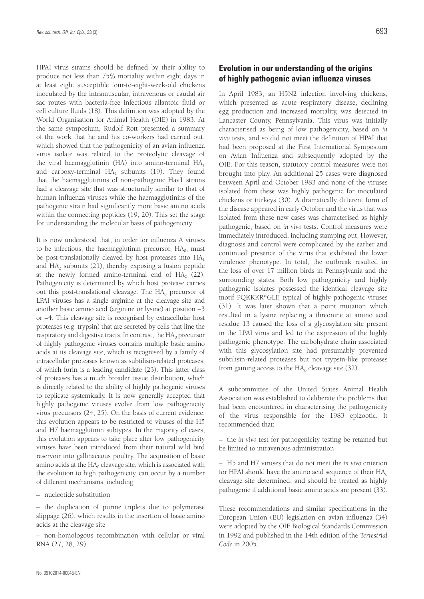HPAI virus strains should be defined by their ability to produce not less than 75% mortality within eight days in at least eight susceptible four-to-eight-week-old chickens inoculated by the intramuscular, intravenous or caudal air sac routes with bacteria-free infectious allantoic fluid or cell culture fluids (18). This definition was adopted by the World Organisation for Animal Health (OIE) in 1983. At the same symposium, Rudolf Rott presented a summary of the work that he and his co-workers had carried out, which showed that the pathogenicity of an avian influenza virus isolate was related to the proteolytic cleavage of the viral haemagglutinin (HA) into amino-terminal  $HA_1$ and carboxy-terminal  $HA_2$  subunits (19). They found that the haemagglutinins of non-pathogenic Hav1 strains had a cleavage site that was structurally similar to that of human influenza viruses while the haemagglutinins of the pathogenic strain had significantly more basic amino acids within the connecting peptides (19, 20). This set the stage for understanding the molecular basis of pathogenicity.

It is now understood that, in order for influenza A viruses to be infectious, the haemagglutinin precursor,  $HA<sub>0</sub>$ , must be post-translationally cleaved by host proteases into  $HA_1$ and  $HA_2$  subunits (21), thereby exposing a fusion peptide at the newly formed amino-terminal end of  $HA$ <sub>2</sub> (22). Pathogenicity is determined by which host protease carries out this post-translational cleavage. The  $HA<sub>0</sub>$  precursor of LPAI viruses has a single arginine at the cleavage site and another basic amino acid (arginine or lysine) at position –3 or –4. This cleavage site is recognised by extracellular host proteases (e.g. trypsin) that are secreted by cells that line the respiratory and digestive tracts. In contrast, the  $HA<sub>0</sub>$  precursor of highly pathogenic viruses contains multiple basic amino acids at its cleavage site, which is recognised by a family of intracellular proteases known as subtilisin-related proteases, of which furin is a leading candidate (23). This latter class of proteases has a much broader tissue distribution, which is directly related to the ability of highly pathogenic viruses to replicate systemically. It is now generally accepted that highly pathogenic viruses evolve from low pathogenicity virus precursors (24, 25). On the basis of current evidence, this evolution appears to be restricted to viruses of the H5 and H7 haemagglutinin subtypes. In the majority of cases, this evolution appears to take place after low pathogenicity viruses have been introduced from their natural wild bird reservoir into gallinaceous poultry. The acquisition of basic amino acids at the  $HA<sub>0</sub>$  cleavage site, which is associated with the evolution to high pathogenicity, can occur by a number of different mechanisms, including:

– nucleotide substitution

– the duplication of purine triplets due to polymerase slippage (26), which results in the insertion of basic amino acids at the cleavage site

– non-homologous recombination with cellular or viral RNA (27, 28, 29).

## **Evolution in our understanding of the origins of highly pathogenic avian influenza viruses**

In April 1983, an H5N2 infection involving chickens, which presented as acute respiratory disease, declining egg production and increased mortality, was detected in Lancaster County, Pennsylvania. This virus was initially characterised as being of low pathogenicity, based on *in vivo* tests, and so did not meet the definition of HPAI that had been proposed at the First International Symposium on Avian Influenza and subsequently adopted by the OIE. For this reason, statutory control measures were not brought into play. An additional 25 cases were diagnosed between April and October 1983 and none of the viruses isolated from these was highly pathogenic for inoculated chickens or turkeys (30). A dramatically different form of the disease appeared in early October and the virus that was isolated from these new cases was characterised as highly pathogenic, based on *in vivo* tests. Control measures were immediately introduced, including stamping out. However, diagnosis and control were complicated by the earlier and continued presence of the virus that exhibited the lower virulence phenotype. In total, the outbreak resulted in the loss of over 17 million birds in Pennsylvania and the surrounding states. Both low pathogenicity and highly pathogenic isolates possessed the identical cleavage site motif PQKKKR\*GLF, typical of highly pathogenic viruses (31). It was later shown that a point mutation which resulted in a lysine replacing a threonine at amino acid residue 13 caused the loss of a glycosylation site present in the LPAI virus and led to the expression of the highly pathogenic phenotype. The carbohydrate chain associated with this glycosylation site had presumably prevented subtilisin-related proteases but not trypsin-like proteases from gaining access to the  $HA<sub>0</sub>$  cleavage site (32).

A subcommittee of the United States Animal Health Association was established to deliberate the problems that had been encountered in characterising the pathogenicity of the virus responsible for the 1983 epizootic. It recommended that:

– the *in vivo* test for pathogenicity testing be retained but be limited to intravenous administration

– H5 and H7 viruses that do not meet the *in vivo* criterion for HPAI should have the amino acid sequence of their  $HA_0$ cleavage site determined, and should be treated as highly pathogenic if additional basic amino acids are present (33).

These recommendations and similar specifications in the European Union (EU) legislation on avian influenza (34) were adopted by the OIE Biological Standards Commission in 1992 and published in the 14th edition of the *Terrestrial Code* in 2005.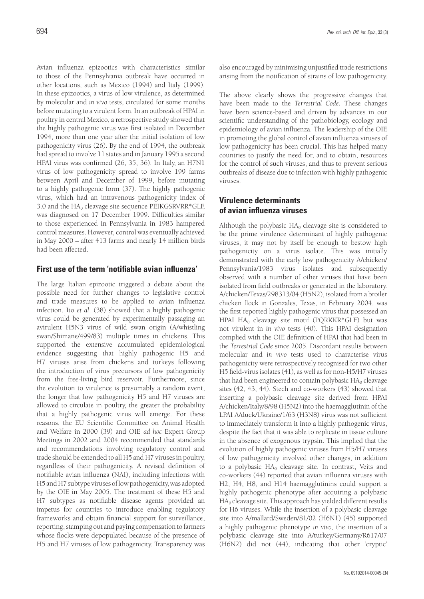Avian influenza epizootics with characteristics similar to those of the Pennsylvania outbreak have occurred in other locations, such as Mexico (1994) and Italy (1999). In these epizootics, a virus of low virulence, as determined by molecular and *in vivo* tests, circulated for some months before mutating to a virulent form. In an outbreak of HPAI in poultry in central Mexico, a retrospective study showed that the highly pathogenic virus was first isolated in December 1994, more than one year after the initial isolation of low pathogenicity virus (26). By the end of 1994, the outbreak had spread to involve 11 states and in January 1995 a second HPAI virus was confirmed (26, 35, 36). In Italy, an H7N1 virus of low pathogenicity spread to involve 199 farms between April and December of 1999, before mutating to a highly pathogenic form (37). The highly pathogenic virus, which had an intravenous pathogenicity index of 3.0 and the  $HA<sub>0</sub>$  cleavage site sequence PEIKGSRVRR\*GLF, was diagnosed on 17 December 1999. Difficulties similar to those experienced in Pennsylvania in 1983 hampered control measures. However, control was eventually achieved in May 2000 – after 413 farms and nearly 14 million birds had been affected.

#### **First use of the term 'notifiable avian influenza'**

The large Italian epizootic triggered a debate about the possible need for further changes to legislative control and trade measures to be applied to avian influenza infection. Ito *et al*. (38) showed that a highly pathogenic virus could be generated by experimentally passaging an avirulent H5N3 virus of wild swan origin (A/whistling swan/Shimane/499/83) multiple times in chickens. This supported the extensive accumulated epidemiological evidence suggesting that highly pathogenic H5 and H7 viruses arise from chickens and turkeys following the introduction of virus precursors of low pathogenicity from the free-living bird reservoir. Furthermore, since the evolution to virulence is presumably a random event, the longer that low pathogenicity H5 and H7 viruses are allowed to circulate in poultry, the greater the probability that a highly pathogenic virus will emerge. For these reasons, the EU Scientific Committee on Animal Health and Welfare in 2000 (39) and OIE *ad hoc* Expert Group Meetings in 2002 and 2004 recommended that standards and recommendations involving regulatory control and trade should be extended to all H5 and H7 viruses in poultry, regardless of their pathogenicity. A revised definition of notifiable avian influenza (NAI), including infections with H5 and H7 subtype viruses of low pathogenicity, was adopted by the OIE in May 2005. The treatment of these H5 and H7 subtypes as notifiable disease agents provided an impetus for countries to introduce enabling regulatory frameworks and obtain financial support for surveillance, reporting, stamping out and paying compensation to farmers whose flocks were depopulated because of the presence of H5 and H7 viruses of low pathogenicity. Transparency was

also encouraged by minimising unjustified trade restrictions arising from the notification of strains of low pathogenicity.

The above clearly shows the progressive changes that have been made to the *Terrestrial Code.* These changes have been science-based and driven by advances in our scientific understanding of the pathobiology, ecology and epidemiology of avian influenza. The leadership of the OIE in promoting the global control of avian influenza viruses of low pathogenicity has been crucial. This has helped many countries to justify the need for, and to obtain, resources for the control of such viruses, and thus to prevent serious outbreaks of disease due to infection with highly pathogenic viruses.

## **Virulence determinants of avian influenza viruses**

Although the polybasic  $HA_0$  cleavage site is considered to be the prime virulence determinant of highly pathogenic viruses, it may not by itself be enough to bestow high pathogenicity on a virus isolate. This was initially demonstrated with the early low pathogenicity A/chicken/ Pennsylvania/1983 virus isolates and subsequently observed with a number of other viruses that have been isolated from field outbreaks or generated in the laboratory. A/chicken/Texas/298313/04 (H5N2), isolated from a broiler chicken flock in Gonzales, Texas, in February 2004, was the first reported highly pathogenic virus that possessed an HPAI HA $_0$  cleavage site motif (PQRKKR\*GLF) but was not virulent in *in vivo* tests (40). This HPAI designation complied with the OIE definition of HPAI that had been in the *Terrestrial Code* since 2005. Discordant results between molecular and *in vivo* tests used to characterise virus pathogenicity were retrospectively recognised for two other H5 field-virus isolates (41), as well as for non-H5/H7 viruses that had been engineered to contain polybasic  $HA_0$  cleavage sites (42, 43, 44). Stech and co-workers (43) showed that inserting a polybasic cleavage site derived from HPAI A/chicken/Italy/8/98 (H5N2) into the haemagglutinin of the LPAI A/duck/Ukraine/1/63 (H3N8) virus was not sufficient to immediately transform it into a highly pathogenic virus, despite the fact that it was able to replicate in tissue culture in the absence of exogenous trypsin. This implied that the evolution of highly pathogenic viruses from H5/H7 viruses of low pathogenicity involved other changes, in addition to a polybasic  $HA_0$  cleavage site. In contrast, Veits and co-workers (44) reported that avian influenza viruses with H2, H4, H8, and H14 haemagglutinins could support a highly pathogenic phenotype after acquiring a polybasic  $HA<sub>0</sub>$  cleavage site. This approach has yielded different results for H6 viruses. While the insertion of a polybasic cleavage site into A/mallard/Sweden/81/02 (H6N1) (45) supported a highly pathogenic phenotype *in vivo*, the insertion of a polybasic cleavage site into A/turkey/Germany/R617/07 (H6N2) did not (44), indicating that other 'cryptic'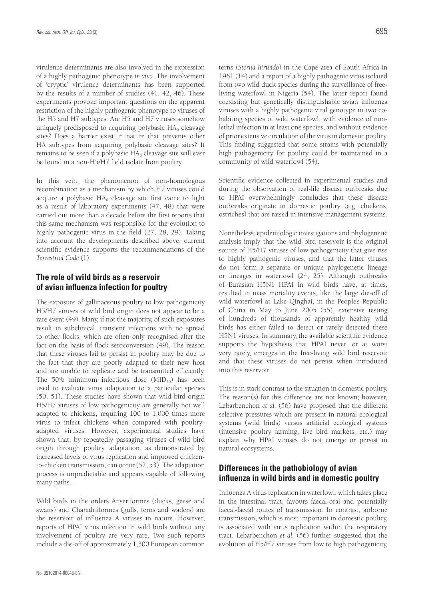virulence determinants are also involved in the expression of a highly pathogenic phenotype *in vivo*. The involvement of 'cryptic' virulence determinants has been supported by the results of a number of studies (41, 42, 46). These experiments provoke important questions on the apparent restriction of the highly pathogenic phenotype to viruses of the H5 and H7 subtypes. Are H5 and H7 viruses somehow uniquely predisposed to acquiring polybasic  $HA<sub>0</sub>$  cleavage sites? Does a barrier exist in nature that prevents other HA subtypes from acquiring polybasic cleavage sites? It remains to be seen if a polybasic  $HA<sub>0</sub>$  cleavage site will ever be found in a non-H5/H7 field isolate from poultry.

In this vein, the phenomenon of non-homologous recombination as a mechanism by which H7 viruses could acquire a polybasic  $HA_0$  cleavage site first came to light as a result of laboratory experiments (47, 48) that were carried out more than a decade before the first reports that this same mechanism was responsible for the evolution to highly pathogenic virus in the field (27, 28, 29). Taking into account the developments described above, current scientific evidence supports the recommendations of the *Terrestrial Code* (1).

## **The role of wild birds as a reservoir of avian influenza infection for poultry**

The exposure of gallinaceous poultry to low pathogenicity H5/H7 viruses of wild bird origin does not appear to be a rare event (49). Many, if not the majority, of such exposures result in subclinical, transient infections with no spread to other flocks, which are often only recognised after the fact on the basis of flock seroconversion (49). The reason that these viruses fail to persist in poultry may be due to the fact that they are poorly adapted to their new host and are unable to replicate and be transmitted efficiently. The 50% minimum infectious dose  $(MID_{50})$  has been used to evaluate virus adaptation to a particular species (50, 51). These studies have shown that wild-bird-origin H5/H7 viruses of low pathogenicity are generally not well adapted to chickens, requiring 100 to 1,000 times more virus to infect chickens when compared with poultryadapted viruses. However, experimental studies have shown that, by repeatedly passaging viruses of wild bird origin through poultry, adaptation, as demonstrated by increased levels of virus replication and improved chickento-chicken transmission, can occur (52, 53). The adaptation process is unpredictable and appears capable of following many paths.

Wild birds in the orders Anseriformes (ducks, geese and swans) and Charadriiformes (gulls, terns and waders) are the reservoir of influenza A viruses in nature. However, reports of HPAI virus infection in wild birds without any involvement of poultry are very rare. Two such reports include a die-off of approximately 1,300 European common

terns (*Sterna hirundo*) in the Cape area of South Africa in 1961 (14) and a report of a highly pathogenic virus isolated from two wild duck species during the surveillance of freeliving waterfowl in Nigeria (54). The latter report found coexisting but genetically distinguishable avian influenza viruses with a highly pathogenic viral genotype in two cohabiting species of wild waterfowl, with evidence of nonlethal infection in at least one species, and without evidence of prior extensive circulation of the virus in domestic poultry. This finding suggested that some strains with potentially high pathogenicity for poultry could be maintained in a community of wild waterfowl (54).

Scientific evidence collected in experimental studies and during the observation of real-life disease outbreaks due to HPAI overwhelmingly concludes that these disease outbreaks originate in domestic poultry (e.g. chickens, ostriches) that are raised in intensive management systems.

Nonetheless, epidemiologic investigations and phylogenetic analysis imply that the wild bird reservoir is the original source of H5/H7 viruses of low pathogenicity that give rise to highly pathogenic viruses, and that the latter viruses do not form a separate or unique phylogenetic lineage or lineages in waterfowl (24, 25). Although outbreaks of Eurasian H5N1 HPAI in wild birds have, at times, resulted in mass mortality events, like the large die-off of wild waterfowl at Lake Qinghai, in the People's Republic of China in May to June 2005 (55), extensive testing of hundreds of thousands of apparently healthy wild birds has either failed to detect or rarely detected these H5N1 viruses. In summary, the available scientific evidence supports the hypothesis that HPAI never, or at worst very rarely, emerges in the free-living wild bird reservoir and that these viruses do not persist when introduced into this reservoir.

This is in stark contrast to the situation in domestic poultry. The reason(s) for this difference are not known; however, Lebarbenchon *et al.* (56) have proposed that the different selective pressures which are present in natural ecological systems (wild birds) versus artificial ecological systems (intensive poultry farming, live bird markets, etc.) may explain why HPAI viruses do not emerge or persist in natural ecosystems.

## **Differences in the pathobiology of avian influenza in wild birds and in domestic poultry**

Influenza A virus replication in waterfowl, which takes place in the intestinal tract, favours faecal-oral and potentially faecal-faecal routes of transmission. In contrast, airborne transmission, which is most important in domestic poultry, is associated with virus replication within the respiratory tract. Lebarbenchon *et al.* (56) further suggested that the evolution of H5/H7 viruses from low to high pathogenicity,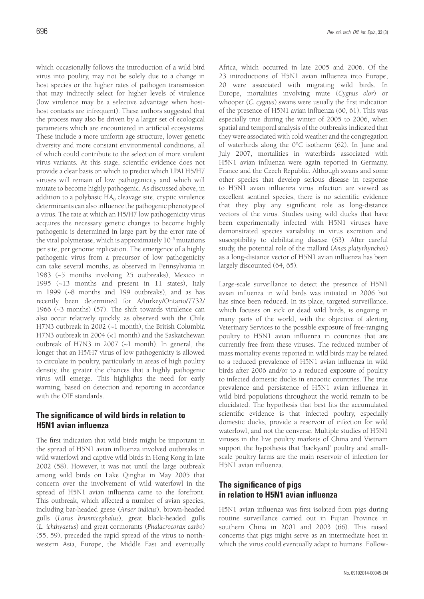which occasionally follows the introduction of a wild bird virus into poultry, may not be solely due to a change in host species or the higher rates of pathogen transmission that may indirectly select for higher levels of virulence (low virulence may be a selective advantage when hosthost contacts are infrequent). These authors suggested that the process may also be driven by a larger set of ecological parameters which are encountered in artificial ecosystems. These include a more uniform age structure, lower genetic diversity and more constant environmental conditions, all of which could contribute to the selection of more virulent virus variants. At this stage, scientific evidence does not provide a clear basis on which to predict which LPAI H5/H7 viruses will remain of low pathogenicity and which will mutate to become highly pathogenic. As discussed above, in addition to a polybasic  $HA_0$  cleavage site, cryptic virulence determinants can also influence the pathogenic phenotype of a virus. The rate at which an H5/H7 low pathogenicity virus acquires the necessary genetic changes to become highly pathogenic is determined in large part by the error rate of the viral polymerase, which is approximately  $10^{-5}$  mutations per site, per genome replication. The emergence of a highly pathogenic virus from a precursor of low pathogenicity can take several months, as observed in Pennsylvania in 1983 (~5 months involving 25 outbreaks), Mexico in 1995 (~13 months and present in 11 states), Italy in 1999 (~8 months and 199 outbreaks), and as has recently been determined for A/turkey/Ontario/7732/ 1966 (~3 months) (57). The shift towards virulence can also occur relatively quickly, as observed with the Chile H7N3 outbreak in 2002 (~1 month), the British Columbia H7N3 outbreak in 2004 (<1 month) and the Saskatchewan outbreak of H7N3 in 2007 (~1 month). In general, the longer that an H5/H7 virus of low pathogenicity is allowed to circulate in poultry, particularly in areas of high poultry density, the greater the chances that a highly pathogenic virus will emerge. This highlights the need for early warning, based on detection and reporting in accordance with the OIE standards.

## **The significance of wild birds in relation to H5N1 avian influenza**

The first indication that wild birds might be important in the spread of H5N1 avian influenza involved outbreaks in wild waterfowl and captive wild birds in Hong Kong in late 2002 (58). However, it was not until the large outbreak among wild birds on Lake Qinghai in May 2005 that concern over the involvement of wild waterfowl in the spread of H5N1 avian influenza came to the forefront. This outbreak, which affected a number of avian species, including bar-headed geese (*Anser indicus*), brown-headed gulls (*Larus brunnicephalus*), great black-headed gulls (*L. ichthyaetus*) and great cormorants (*Phalacrocorax carbo*) (55, 59), preceded the rapid spread of the virus to northwestern Asia, Europe, the Middle East and eventually Africa, which occurred in late 2005 and 2006. Of the 23 introductions of H5N1 avian influenza into Europe, 20 were associated with migrating wild birds. In Europe, mortalities involving mute (*Cygnus olor*) or whooper (*C. cygnus*) swans were usually the first indication of the presence of H5N1 avian influenza (60, 61). This was especially true during the winter of 2005 to 2006, when spatial and temporal analysis of the outbreaks indicated that they were associated with cold weather and the congregation of waterbirds along the 0°C isotherm (62). In June and July 2007, mortalities in waterbirds associated with H5N1 avian influenza were again reported in Germany, France and the Czech Republic. Although swans and some other species that develop serious disease in response to H5N1 avian influenza virus infection are viewed as excellent sentinel species, there is no scientific evidence that they play any significant role as long-distance vectors of the virus. Studies using wild ducks that have been experimentally infected with H5N1 viruses have demonstrated species variability in virus excretion and susceptibility to debilitating disease (63). After careful study, the potential role of the mallard (*Anas platyrhynchos*) as a long-distance vector of H5N1 avian influenza has been largely discounted (64, 65).

Large-scale surveillance to detect the presence of H5N1 avian influenza in wild birds was initiated in 2006 but has since been reduced. In its place, targeted surveillance, which focuses on sick or dead wild birds, is ongoing in many parts of the world, with the objective of alerting Veterinary Services to the possible exposure of free-ranging poultry to H5N1 avian influenza in countries that are currently free from these viruses. The reduced number of mass mortality events reported in wild birds may be related to a reduced prevalence of H5N1 avian influenza in wild birds after 2006 and/or to a reduced exposure of poultry to infected domestic ducks in enzootic countries. The true prevalence and persistence of H5N1 avian influenza in wild bird populations throughout the world remain to be elucidated. The hypothesis that best fits the accumulated scientific evidence is that infected poultry, especially domestic ducks, provide a reservoir of infection for wild waterfowl, and not the converse. Multiple studies of H5N1 viruses in the live poultry markets of China and Vietnam support the hypothesis that 'backyard' poultry and smallscale poultry farms are the main reservoir of infection for H5N1 avian influenza.

## **The significance of pigs in relation to H5N1 avian influenza**

H5N1 avian influenza was first isolated from pigs during routine surveillance carried out in Fujian Province in southern China in 2001 and 2003 (66). This raised concerns that pigs might serve as an intermediate host in which the virus could eventually adapt to humans. Follow-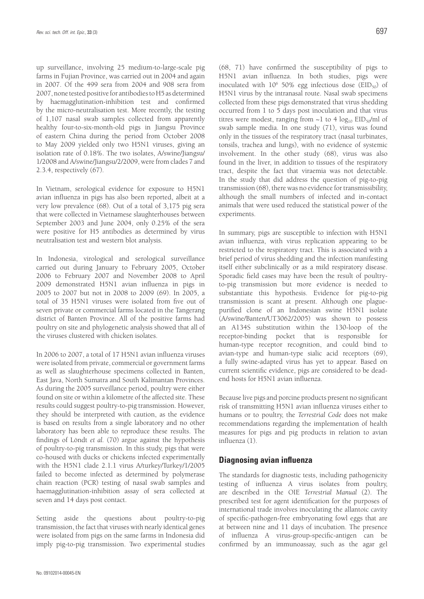up surveillance, involving 25 medium-to-large-scale pig farms in Fujian Province, was carried out in 2004 and again in 2007. Of the 499 sera from 2004 and 908 sera from 2007, none tested positive for antibodies to H5 as determined by haemagglutination-inhibition test and confirmed by the micro-neutralisation test. More recently, the testing of 1,107 nasal swab samples collected from apparently healthy four-to-six-month-old pigs in Jiangsu Province of eastern China during the period from October 2008 to May 2009 yielded only two H5N1 viruses, giving an isolation rate of 0.18%. The two isolates, A/swine/Jiangsu/ 1/2008 and A/swine/Jiangsu/2/2009, were from clades 7 and 2.3.4, respectively (67).

In Vietnam, serological evidence for exposure to H5N1 avian influenza in pigs has also been reported, albeit at a very low prevalence (68). Out of a total of 3,175 pig sera that were collected in Vietnamese slaughterhouses between September 2003 and June 2004, only 0.25% of the sera were positive for H5 antibodies as determined by virus neutralisation test and western blot analysis.

In Indonesia, virological and serological surveillance carried out during January to February 2005, October 2006 to February 2007 and November 2008 to April 2009 demonstrated H5N1 avian influenza in pigs in 2005 to 2007 but not in 2008 to 2009 (69). In 2005, a total of 35 H5N1 viruses were isolated from five out of seven private or commercial farms located in the Tangerang district of Banten Province. All of the positive farms had poultry on site and phylogenetic analysis showed that all of the viruses clustered with chicken isolates.

In 2006 to 2007, a total of 17 H5N1 avian influenza viruses were isolated from private, commercial or government farms as well as slaughterhouse specimens collected in Banten, East Java, North Sumatra and South Kalimantan Provinces. As during the 2005 surveillance period, poultry were either found on site or within a kilometre of the affected site. These results could suggest poultry-to-pig transmission. However, they should be interpreted with caution, as the evidence is based on results from a single laboratory and no other laboratory has been able to reproduce these results. The findings of Löndt *et al.* (70) argue against the hypothesis of poultry-to-pig transmission. In this study, pigs that were co-housed with ducks or chickens infected experimentally with the H5N1 clade 2.1.1 virus A/turkey/Turkey/1/2005 failed to become infected as determined by polymerase chain reaction (PCR) testing of nasal swab samples and haemagglutination-inhibition assay of sera collected at seven and 14 days post contact.

Setting aside the questions about poultry-to-pig transmission, the fact that viruses with nearly identical genes were isolated from pigs on the same farms in Indonesia did imply pig-to-pig transmission. Two experimental studies (68, 71) have confirmed the susceptibility of pigs to H5N1 avian influenza. In both studies, pigs were inoculated with  $10^6$  50% egg infectious dose (EID<sub>50</sub>) of H5N1 virus by the intranasal route. Nasal swab specimens collected from these pigs demonstrated that virus shedding occurred from 1 to 5 days post inoculation and that virus titres were modest, ranging from  $\sim$ 1 to 4 log<sub>10</sub> EID<sub>50</sub>/ml of swab sample media. In one study (71), virus was found only in the tissues of the respiratory tract (nasal turbinates, tonsils, trachea and lungs), with no evidence of systemic involvement. In the other study (68), virus was also found in the liver, in addition to tissues of the respiratory tract, despite the fact that viraemia was not detectable. In the study that did address the question of pig-to-pig transmission (68), there was no evidence for transmissibility, although the small numbers of infected and in-contact animals that were used reduced the statistical power of the experiments.

In summary, pigs are susceptible to infection with H5N1 avian influenza, with virus replication appearing to be restricted to the respiratory tract. This is associated with a brief period of virus shedding and the infection manifesting itself either subclinically or as a mild respiratory disease. Sporadic field cases may have been the result of poultryto-pig transmission but more evidence is needed to substantiate this hypothesis. Evidence for pig-to-pig transmission is scant at present. Although one plaguepurified clone of an Indonesian swine H5N1 isolate (A/swine/Banten/UT3062/2005) was shown to possess an A134S substitution within the 130-loop of the receptor-binding pocket that is responsible for human-type receptor recognition, and could bind to avian-type and human-type sialic acid receptors (69), a fully swine-adapted virus has yet to appear. Based on current scientific evidence, pigs are considered to be deadend hosts for H5N1 avian influenza.

Because live pigs and porcine products present no significant risk of transmitting H5N1 avian influenza viruses either to humans or to poultry, the *Terrestrial Code* does not make recommendations regarding the implementation of health measures for pigs and pig products in relation to avian influenza (1).

#### **Diagnosing avian influenza**

The standards for diagnostic tests, including pathogenicity testing of influenza A virus isolates from poultry, are described in the OIE *Terrestrial Manual* (2). The prescribed test for agent identification for the purposes of international trade involves inoculating the allantoic cavity of specific-pathogen-free embryonating fowl eggs that are at between nine and 11 days of incubation. The presence of influenza A virus-group-specific-antigen can be confirmed by an immunoassay, such as the agar gel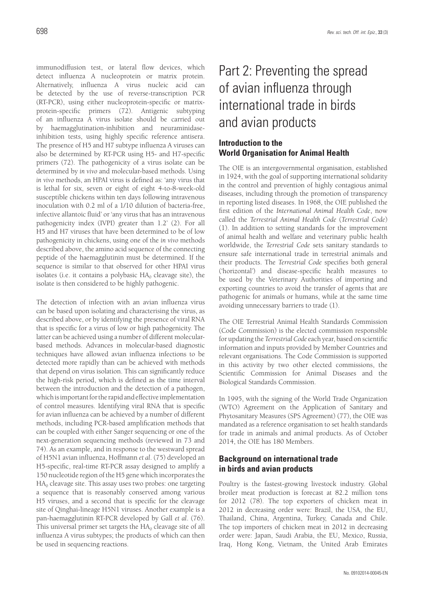immunodiffusion test, or lateral flow devices, which detect influenza A nucleoprotein or matrix protein. Alternatively, influenza A virus nucleic acid can be detected by the use of reverse-transcription PCR (RT-PCR), using either nucleoprotein-specific or matrixprotein-specific primers (72). Antigenic subtyping of an influenza A virus isolate should be carried out by haemagglutination-inhibition and neuraminidaseinhibition tests, using highly specific reference antisera. The presence of H5 and H7 subtype influenza A viruses can also be determined by RT-PCR using H5- and H7-specific primers (72). The pathogenicity of a virus isolate can be determined by *in vivo* and molecular-based methods. Using *in vivo* methods, an HPAI virus is defined as: 'any virus that is lethal for six, seven or eight of eight 4-to-8-week-old susceptible chickens within ten days following intravenous inoculation with 0.2 ml of a 1/10 dilution of bacteria-free, infective allantoic fluid' or 'any virus that has an intravenous pathogenicity index (IVPI) greater than 1.2' (2). For all H5 and H7 viruses that have been determined to be of low pathogenicity in chickens, using one of the *in vivo* methods described above, the amino acid sequence of the connecting peptide of the haemagglutinin must be determined. If the sequence is similar to that observed for other HPAI virus isolates (i.e. it contains a polybasic  $HA<sub>0</sub>$  cleavage site), the isolate is then considered to be highly pathogenic.

The detection of infection with an avian influenza virus can be based upon isolating and characterising the virus, as described above, or by identifying the presence of viral RNA that is specific for a virus of low or high pathogenicity. The latter can be achieved using a number of different molecularbased methods. Advances in molecular-based diagnostic techniques have allowed avian influenza infections to be detected more rapidly than can be achieved with methods that depend on virus isolation. This can significantly reduce the high-risk period, which is defined as the time interval between the introduction and the detection of a pathogen, which is important for the rapid and effective implementation of control measures. Identifying viral RNA that is specific for avian influenza can be achieved by a number of different methods, including PCR-based amplification methods that can be coupled with either Sanger sequencing or one of the next-generation sequencing methods (reviewed in 73 and 74). As an example, and in response to the westward spread of H5N1 avian influenza, Hoffmann *et al*. (75) developed an H5-specific, real-time RT-PCR assay designed to amplify a 150 nucleotide region of the H5 gene which incorporates the  $HA<sub>0</sub>$  cleavage site. This assay uses two probes: one targeting a sequence that is reasonably conserved among various H5 viruses, and a second that is specific for the cleavage site of Qinghai-lineage H5N1 viruses. Another example is a pan-haemagglutinin RT-PCR developed by Gall *et al*. (76). This universal primer set targets the  $HA<sub>0</sub>$  cleavage site of all influenza A virus subtypes; the products of which can then be used in sequencing reactions.

# Part 2: Preventing the spread of avian influenza through international trade in birds and avian products

## **Introduction to the World Organisation for Animal Health**

The OIE is an intergovernmental organisation, established in 1924, with the goal of supporting international solidarity in the control and prevention of highly contagious animal diseases, including through the promotion of transparency in reporting listed diseases. In 1968, the OIE published the first edition of the *International Animal Health Code*, now called the *Terrestrial Animal Health Code* (*Terrestrial Code*) (1). In addition to setting standards for the improvement of animal health and welfare and veterinary public health worldwide, the *Terrestrial Code* sets sanitary standards to ensure safe international trade in terrestrial animals and their products. The *Terrestrial Code* specifies both general ('horizontal') and disease-specific health measures to be used by the Veterinary Authorities of importing and exporting countries to avoid the transfer of agents that are pathogenic for animals or humans, while at the same time avoiding unnecessary barriers to trade (1).

The OIE Terrestrial Animal Health Standards Commission (Code Commission) is the elected commission responsible for updating the *Terrestrial Code* each year, based on scientific information and inputs provided by Member Countries and relevant organisations. The Code Commission is supported in this activity by two other elected commissions, the Scientific Commission for Animal Diseases and the Biological Standards Commission.

In 1995, with the signing of the World Trade Organization (WTO) Agreement on the Application of Sanitary and Phytosanitary Measures (SPS Agreement) (77), the OIE was mandated as a reference organisation to set health standards for trade in animals and animal products. As of October 2014, the OIE has 180 Members.

## **Background on international trade in birds and avian products**

Poultry is the fastest-growing livestock industry. Global broiler meat production is forecast at 82.2 million tons for 2012 (78). The top exporters of chicken meat in 2012 in decreasing order were: Brazil, the USA, the EU, Thailand, China, Argentina, Turkey, Canada and Chile. The top importers of chicken meat in 2012 in decreasing order were: Japan, Saudi Arabia, the EU, Mexico, Russia, Iraq, Hong Kong, Vietnam, the United Arab Emirates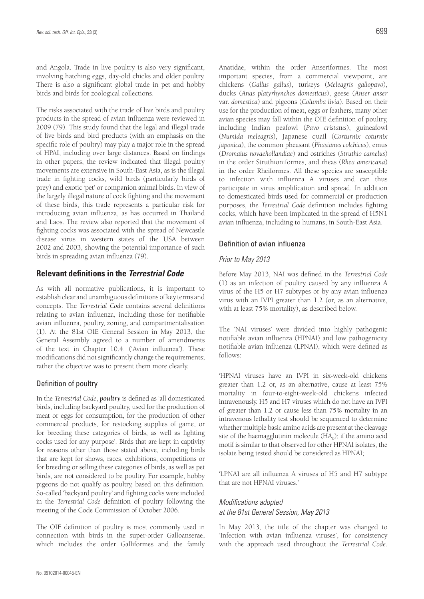and Angola. Trade in live poultry is also very significant, involving hatching eggs, day-old chicks and older poultry. There is also a significant global trade in pet and hobby birds and birds for zoological collections.

The risks associated with the trade of live birds and poultry products in the spread of avian influenza were reviewed in 2009 (79). This study found that the legal and illegal trade of live birds and bird products (with an emphasis on the specific role of poultry) may play a major role in the spread of HPAI, including over large distances. Based on findings in other papers, the review indicated that illegal poultry movements are extensive in South-East Asia, as is the illegal trade in fighting cocks, wild birds (particularly birds of prey) and exotic 'pet' or companion animal birds. In view of the largely illegal nature of cock fighting and the movement of these birds, this trade represents a particular risk for introducing avian influenza, as has occurred in Thailand and Laos. The review also reported that the movement of fighting cocks was associated with the spread of Newcastle disease virus in western states of the USA between 2002 and 2003, showing the potential importance of such birds in spreading avian influenza (79).

#### **Relevant definitions in the** *Terrestrial Code*

As with all normative publications, it is important to establish clear and unambiguous definitions of key terms and concepts. The *Terrestrial Code* contains several definitions relating to avian influenza, including those for notifiable avian influenza, poultry, zoning, and compartmentalisation (1). At the 81st OIE General Session in May 2013, the General Assembly agreed to a number of amendments of the text in Chapter 10.4. ('Avian influenza'). These modifications did not significantly change the requirements; rather the objective was to present them more clearly.

#### Definition of poultry

In the *Terrestrial Code*, *poultry* is defined as 'all domesticated birds, including backyard poultry, used for the production of meat or eggs for consumption, for the production of other commercial products, for restocking supplies of game, or for breeding these categories of birds, as well as fighting cocks used for any purpose'. Birds that are kept in captivity for reasons other than those stated above, including birds that are kept for shows, races, exhibitions, competitions or for breeding or selling these categories of birds, as well as pet birds, are not considered to be poultry. For example, hobby pigeons do not qualify as poultry, based on this definition. So-called 'backyard poultry' and fighting cocks were included in the *Terrestrial Code* definition of poultry following the meeting of the Code Commission of October 2006.

The OIE definition of poultry is most commonly used in connection with birds in the super-order Galloanserae, which includes the order Galliformes and the family

Anatidae, within the order Anseriformes. The most important species, from a commercial viewpoint, are chickens (*Gallus gallus*), turkeys (*Meleagris gallopavo*), ducks (*Anas platyrhynchos domesticus*), geese (*Anser anser*  var. *domestica*) and pigeons (*Columba livia*). Based on their use for the production of meat, eggs or feathers, many other avian species may fall within the OIE definition of poultry, including Indian peafowl (*Pavo cristatus*), guineafowl (*Numida meleagris*), Japanese quail (*Corturnix coturnix japonica*), the common pheasant (*Phasianus colchicus*), emus (*Dromaius novaehollandiae*) and ostriches (*Struthio camelus*) in the order Struthioniformes, and rheas (*Rhea americana*) in the order Rheiformes. All these species are susceptible to infection with influenza A viruses and can thus participate in virus amplification and spread. In addition to domesticated birds used for commercial or production purposes, the *Terrestrial Code* definition includes fighting cocks, which have been implicated in the spread of H5N1 avian influenza, including to humans, in South-East Asia.

#### Definition of avian influenza

#### *Prior to May 2013*

Before May 2013, NAI was defined in the *Terrestrial Code* (1) as an infection of poultry caused by any influenza A virus of the H5 or H7 subtypes or by any avian influenza virus with an IVPI greater than 1.2 (or, as an alternative, with at least 75% mortality), as described below.

The 'NAI viruses' were divided into highly pathogenic notifiable avian influenza (HPNAI) and low pathogenicity notifiable avian influenza (LPNAI), which were defined as follows:

'HPNAI viruses have an IVPI in six-week-old chickens greater than 1.2 or, as an alternative, cause at least 75% mortality in four-to-eight-week-old chickens infected intravenously. H5 and H7 viruses which do not have an IVPI of greater than 1.2 or cause less than 75% mortality in an intravenous lethality test should be sequenced to determine whether multiple basic amino acids are present at the cleavage site of the haemagglutinin molecule  $(HA<sub>0</sub>)$ ; if the amino acid motif is similar to that observed for other HPNAI isolates, the isolate being tested should be considered as HPNAI;

'LPNAI are all influenza A viruses of H5 and H7 subtype that are not HPNAI viruses.'

#### *Modifications adopted at the 81st General Session, May 2013*

In May 2013, the title of the chapter was changed to 'Infection with avian influenza viruses', for consistency with the approach used throughout the *Terrestrial Code*.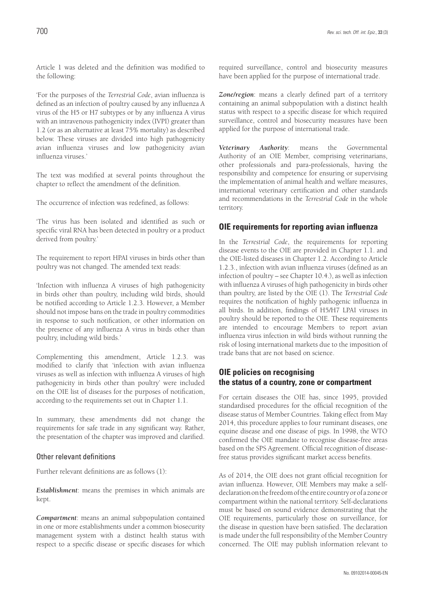Article 1 was deleted and the definition was modified to the following:

'For the purposes of the *Terrestrial Code*, avian influenza is defined as an infection of poultry caused by any influenza A virus of the H5 or H7 subtypes or by any influenza A virus with an intravenous pathogenicity index (IVPI) greater than 1.2 (or as an alternative at least 75% mortality) as described below. These viruses are divided into high pathogenicity avian influenza viruses and low pathogenicity avian influenza viruses.'

The text was modified at several points throughout the chapter to reflect the amendment of the definition.

The occurrence of infection was redefined, as follows:

'The virus has been isolated and identified as such or specific viral RNA has been detected in poultry or a product derived from poultry.'

The requirement to report HPAI viruses in birds other than poultry was not changed. The amended text reads:

'Infection with influenza A viruses of high pathogenicity in birds other than poultry, including wild birds, should be notified according to Article 1.2.3. However, a Member should not impose bans on the trade in poultry commodities in response to such notification, or other information on the presence of any influenza A virus in birds other than poultry, including wild birds.'

Complementing this amendment, Article 1.2.3. was modified to clarify that 'infection with avian influenza viruses as well as infection with influenza A viruses of high pathogenicity in birds other than poultry' were included on the OIE list of diseases for the purposes of notification, according to the requirements set out in Chapter 1.1.

In summary, these amendments did not change the requirements for safe trade in any significant way. Rather, the presentation of the chapter was improved and clarified.

#### Other relevant definitions

Further relevant definitions are as follows (1):

*Establishment*: means the premises in which animals are kept.

*Compartment*: means an animal subpopulation contained in one or more establishments under a common biosecurity management system with a distinct health status with respect to a specific disease or specific diseases for which required surveillance, control and biosecurity measures have been applied for the purpose of international trade.

*Zone/region*: means a clearly defined part of a territory containing an animal subpopulation with a distinct health status with respect to a specific disease for which required surveillance, control and biosecurity measures have been applied for the purpose of international trade.

*Veterinary Authority*: means the Governmental Authority of an OIE Member, comprising veterinarians, other professionals and para-professionals, having the responsibility and competence for ensuring or supervising the implementation of animal health and welfare measures, international veterinary certification and other standards and recommendations in the *Terrestrial Code* in the whole territory.

#### **OIE requirements for reporting avian influenza**

In the *Terrestrial Code*, the requirements for reporting disease events to the OIE are provided in Chapter 1.1. and the OIE-listed diseases in Chapter 1.2. According to Article 1.2.3., infection with avian influenza viruses (defined as an infection of poultry – see Chapter 10.4.), as well as infection with influenza A viruses of high pathogenicity in birds other than poultry, are listed by the OIE (1). The *Terrestrial Code*  requires the notification of highly pathogenic influenza in all birds. In addition, findings of H5/H7 LPAI viruses in poultry should be reported to the OIE. These requirements are intended to encourage Members to report avian influenza virus infection in wild birds without running the risk of losing international markets due to the imposition of trade bans that are not based on science.

#### **OIE policies on recognising the status of a country, zone or compartment**

For certain diseases the OIE has, since 1995, provided standardised procedures for the official recognition of the disease status of Member Countries. Taking effect from May 2014, this procedure applies to four ruminant diseases, one equine disease and one disease of pigs. In 1998, the WTO confirmed the OIE mandate to recognise disease-free areas based on the SPS Agreement. Official recognition of diseasefree status provides significant market access benefits.

As of 2014, the OIE does not grant official recognition for avian influenza. However, OIE Members may make a selfdeclaration on the freedom of the entire country or of a zone or compartment within the national territory. Self-declarations must be based on sound evidence demonstrating that the OIE requirements, particularly those on surveillance, for the disease in question have been satisfied. The declaration is made under the full responsibility of the Member Country concerned. The OIE may publish information relevant to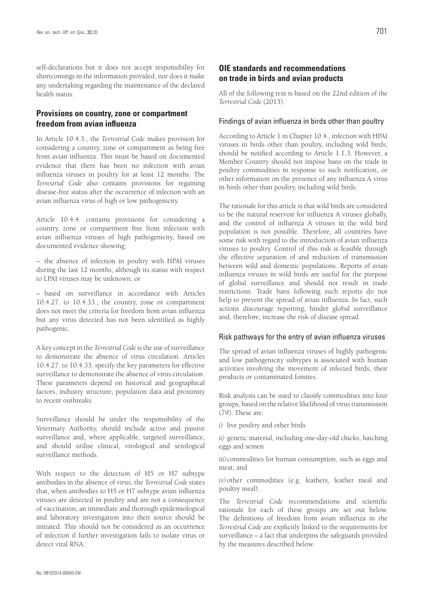self-declarations but it does not accept responsibility for shortcomings in the information provided, nor does it make any undertaking regarding the maintenance of the declared health status.

#### **Provisions on country, zone or compartment freedom from avian influenza**

In Article 10.4.3., the *Terrestrial Code* makes provision for considering a country, zone or compartment as being free from avian influenza. This must be based on documented evidence that there has been no infection with avian influenza viruses in poultry for at least 12 months. The *Terrestrial Code* also contains provisions for regaining disease-free status after the occurrence of infection with an avian influenza virus of high or low pathogenicity.

Article 10.4.4. contains provisions for considering a country, zone or compartment free from infection with avian influenza viruses of high pathogenicity, based on documented evidence showing:

– the absence of infection in poultry with HPAI viruses during the last 12 months, although its status with respect to LPAI viruses may be unknown, or

– based on surveillance in accordance with Articles 10.4.27. to 10.4.33., the country, zone or compartment does not meet the criteria for freedom from avian influenza but any virus detected has not been identified as highly pathogenic.

A key concept in the *Terrestrial Code* is the use of surveillance to demonstrate the absence of virus circulation. Articles 10.4.27. to 10.4.33. specify the key parameters for effective surveillance to demonstrate the absence of virus circulation. These parameters depend on historical and geographical factors, industry structure, population data and proximity to recent outbreaks.

Surveillance should be under the responsibility of the Veterinary Authority, should include active and passive surveillance and, where applicable, targeted surveillance, and should utilise clinical, virological and serological surveillance methods.

With respect to the detection of H5 or H7 subtype antibodies in the absence of virus, the *Terrestrial Code* states that, when antibodies to H5 or H7 subtype avian influenza viruses are detected in poultry and are not a consequence of vaccination, an immediate and thorough epidemiological and laboratory investigation into their source should be initiated. This should not be considered as an occurrence of infection if further investigation fails to isolate virus or detect viral RNA.

## **OIE standards and recommendations on trade in birds and avian products**

All of the following text is based on the 22nd edition of the *Terrestrial Code* (2013).

#### Findings of avian influenza in birds other than poultry

According to Article 1 in Chapter 10.4., infection with HPAI viruses in birds other than poultry, including wild birds, should be notified according to Article 1.1.3. However, a Member Country should not impose bans on the trade in poultry commodities in response to such notification, or other information on the presence of any influenza A virus in birds other than poultry, including wild birds.

The rationale for this article is that wild birds are considered to be the natural reservoir for influenza A viruses globally, and the control of influenza A viruses in the wild bird population is not possible. Therefore, all countries have some risk with regard to the introduction of avian influenza viruses to poultry. Control of this risk is feasible through the effective separation of and reduction of transmission between wild and domestic populations. Reports of avian influenza viruses in wild birds are useful for the purpose of global surveillance and should not result in trade restrictions. Trade bans following such reports do not help to prevent the spread of avian influenza. In fact, such actions discourage reporting, hinder global surveillance and, therefore, increase the risk of disease spread.

#### Risk pathways for the entry of avian influenza viruses

The spread of avian influenza viruses of highly pathogenic and low pathogenicity subtypes is associated with human activities involving the movement of infected birds, their products or contaminated fomites.

Risk analysis can be used to classify commodities into four groups, based on the relative likelihood of virus transmission (79). These are:

*i)* live poultry and other birds

*ii)* genetic material, including one-day-old chicks, hatching eggs and semen

*iii)*commodities for human consumption, such as eggs and meat, and

*iv*) other commodities (e.g. feathers, feather meal and poultry meal).

The *Terrestrial Code* recommendations and scientific rationale for each of these groups are set out below. The definitions of freedom from avian influenza in the *Terrestrial Code* are explicitly linked to the requirements for surveillance – a fact that underpins the safeguards provided by the measures described below.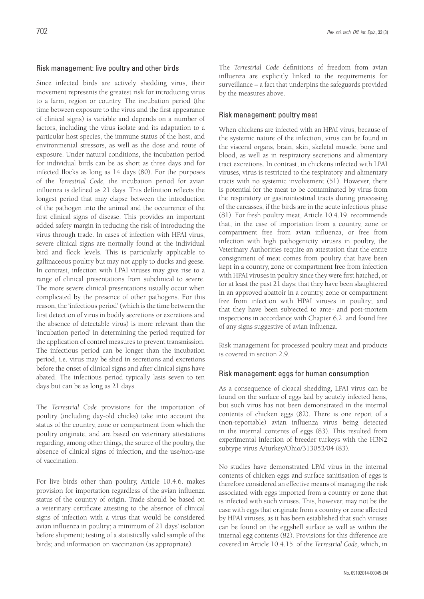#### Risk management: live poultry and other birds

Since infected birds are actively shedding virus, their movement represents the greatest risk for introducing virus to a farm, region or country. The incubation period (the time between exposure to the virus and the first appearance of clinical signs) is variable and depends on a number of factors, including the virus isolate and its adaptation to a particular host species, the immune status of the host, and environmental stressors, as well as the dose and route of exposure. Under natural conditions, the incubation period for individual birds can be as short as three days and for infected flocks as long as 14 days (80). For the purposes of the *Terrestrial Code*, the incubation period for avian influenza is defined as 21 days. This definition reflects the longest period that may elapse between the introduction of the pathogen into the animal and the occurrence of the first clinical signs of disease. This provides an important added safety margin in reducing the risk of introducing the virus through trade. In cases of infection with HPAI virus, severe clinical signs are normally found at the individual bird and flock levels. This is particularly applicable to gallinaceous poultry but may not apply to ducks and geese. In contrast, infection with LPAI viruses may give rise to a range of clinical presentations from subclinical to severe. The more severe clinical presentations usually occur when complicated by the presence of other pathogens. For this reason, the 'infectious period' (which is the time between the first detection of virus in bodily secretions or excretions and the absence of detectable virus) is more relevant than the 'incubation period' in determining the period required for the application of control measures to prevent transmission. The infectious period can be longer than the incubation period, i.e. virus may be shed in secretions and excretions before the onset of clinical signs and after clinical signs have abated. The infectious period typically lasts seven to ten days but can be as long as 21 days.

The *Terrestrial Code* provisions for the importation of poultry (including day-old chicks) take into account the status of the country, zone or compartment from which the poultry originate, and are based on veterinary attestations regarding, among other things*,* the source of the poultry, the absence of clinical signs of infection, and the use/non-use of vaccination.

For live birds other than poultry, Article 10.4.6. makes provision for importation regardless of the avian influenza status of the country of origin. Trade should be based on a veterinary certificate attesting to the absence of clinical signs of infection with a virus that would be considered avian influenza in poultry; a minimum of 21 days' isolation before shipment; testing of a statistically valid sample of the birds; and information on vaccination (as appropriate).

The *Terrestrial Code* definitions of freedom from avian influenza are explicitly linked to the requirements for surveillance – a fact that underpins the safeguards provided by the measures above.

#### Risk management: poultry meat

When chickens are infected with an HPAI virus, because of the systemic nature of the infection, virus can be found in the visceral organs, brain, skin, skeletal muscle, bone and blood, as well as in respiratory secretions and alimentary tract excretions. In contrast, in chickens infected with LPAI viruses, virus is restricted to the respiratory and alimentary tracts with no systemic involvement (51). However, there is potential for the meat to be contaminated by virus from the respiratory or gastrointestinal tracts during processing of the carcasses, if the birds are in the acute infectious phase (81). For fresh poultry meat, Article 10.4.19. recommends that, in the case of importation from a country, zone or compartment free from avian influenza, or free from infection with high pathogenicity viruses in poultry, the Veterinary Authorities require an attestation that the entire consignment of meat comes from poultry that have been kept in a country, zone or compartment free from infection with HPAI viruses in poultry since they were first hatched, or for at least the past 21 days; that they have been slaughtered in an approved abattoir in a country, zone or compartment free from infection with HPAI viruses in poultry; and that they have been subjected to ante- and post-mortem inspections in accordance with Chapter 6.2. and found free of any signs suggestive of avian influenza.

Risk management for processed poultry meat and products is covered in section 2.9.

#### Risk management: eggs for human consumption

As a consequence of cloacal shedding, LPAI virus can be found on the surface of eggs laid by acutely infected hens, but such virus has not been demonstrated in the internal contents of chicken eggs (82). There is one report of a (non-reportable) avian influenza virus being detected in the internal contents of eggs (83). This resulted from experimental infection of breeder turkeys with the H3N2 subtype virus A/turkey/Ohio/313053/04 (83).

No studies have demonstrated LPAI virus in the internal contents of chicken eggs and surface sanitisation of eggs is therefore considered an effective means of managing the risk associated with eggs imported from a country or zone that is infected with such viruses. This, however, may not be the case with eggs that originate from a country or zone affected by HPAI viruses, as it has been established that such viruses can be found on the eggshell surface as well as within the internal egg contents (82). Provisions for this difference are covered in Article 10.4.15. of the *Terrestrial Code,* which, in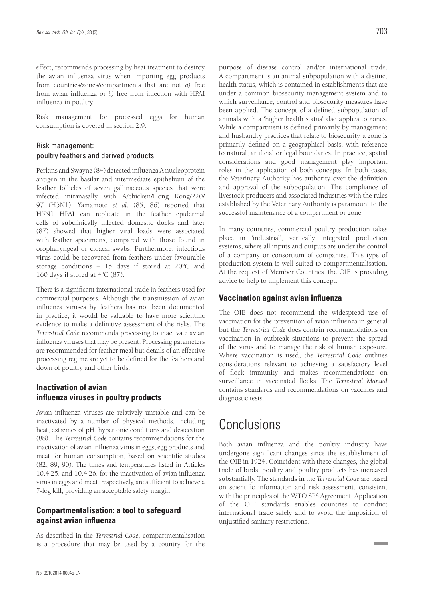effect, recommends processing by heat treatment to destroy the avian influenza virus when importing egg products from countries/zones/compartments that are not *a)* free from avian influenza or *b)* free from infection with HPAI influenza in poultry.

Risk management for processed eggs for human consumption is covered in section 2.9.

#### Risk management: poultry feathers and derived products

Perkins and Swayne (84) detected influenza A nucleoprotein antigen in the basilar and intermediate epithelium of the feather follicles of seven gallinaceous species that were infected intranasally with A/chicken/Hong Kong/220/ 97 (H5N1). Yamamoto *et al*. (85, 86) reported that H5N1 HPAI can replicate in the feather epidermal cells of subclinically infected domestic ducks and later (87) showed that higher viral loads were associated with feather specimens, compared with those found in oropharyngeal or cloacal swabs. Furthermore, infectious virus could be recovered from feathers under favourable storage conditions – 15 days if stored at 20°C and 160 days if stored at 4°C (87).

There is a significant international trade in feathers used for commercial purposes. Although the transmission of avian influenza viruses by feathers has not been documented in practice, it would be valuable to have more scientific evidence to make a definitive assessment of the risks. The *Terrestrial Code* recommends processing to inactivate avian influenza viruses that may be present. Processing parameters are recommended for feather meal but details of an effective processing regime are yet to be defined for the feathers and down of poultry and other birds.

## **Inactivation of avian influenza viruses in poultry products**

Avian influenza viruses are relatively unstable and can be inactivated by a number of physical methods, including heat, extremes of pH, hypertonic conditions and desiccation (88). The *Terrestrial Code* contains recommendations for the inactivation of avian influenza virus in eggs, egg products and meat for human consumption, based on scientific studies (82, 89, 90). The times and temperatures listed in Articles 10.4.25. and 10.4.26. for the inactivation of avian influenza virus in eggs and meat, respectively, are sufficient to achieve a 7-log kill, providing an acceptable safety margin.

## **Compartmentalisation: a tool to safeguard against avian influenza**

As described in the *Terrestrial Code*, compartmentalisation is a procedure that may be used by a country for the purpose of disease control and/or international trade. A compartment is an animal subpopulation with a distinct health status, which is contained in establishments that are under a common biosecurity management system and to which surveillance, control and biosecurity measures have been applied. The concept of a defined subpopulation of animals with a 'higher health status' also applies to zones. While a compartment is defined primarily by management and husbandry practices that relate to biosecurity, a zone is primarily defined on a geographical basis, with reference to natural, artificial or legal boundaries. In practice, spatial considerations and good management play important roles in the application of both concepts. In both cases, the Veterinary Authority has authority over the definition and approval of the subpopulation. The compliance of livestock producers and associated industries with the rules established by the Veterinary Authority is paramount to the successful maintenance of a compartment or zone.

In many countries, commercial poultry production takes place in 'industrial', vertically integrated production systems, where all inputs and outputs are under the control of a company or consortium of companies. This type of production system is well suited to compartmentalisation. At the request of Member Countries, the OIE is providing advice to help to implement this concept.

## **Vaccination against avian influenza**

The OIE does not recommend the widespread use of vaccination for the prevention of avian influenza in general but the *Terrestrial Code* does contain recommendations on vaccination in outbreak situations to prevent the spread of the virus and to manage the risk of human exposure. Where vaccination is used, the *Terrestrial Code* outlines considerations relevant to achieving a satisfactory level of flock immunity and makes recommendations on surveillance in vaccinated flocks. The *Terrestrial Manual* contains standards and recommendations on vaccines and diagnostic tests.

# Conclusions

Both avian influenza and the poultry industry have undergone significant changes since the establishment of the OIE in 1924. Coincident with these changes, the global trade of birds, poultry and poultry products has increased substantially. The standards in the *Terrestrial Code* are based on scientific information and risk assessment, consistent with the principles of the WTO SPS Agreement. Application of the OIE standards enables countries to conduct international trade safely and to avoid the imposition of unjustified sanitary restrictions.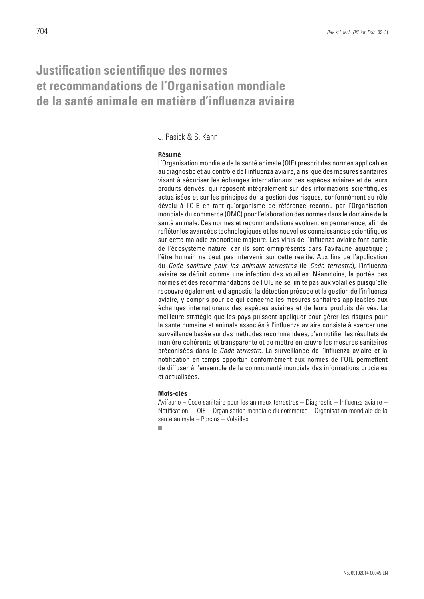## **Justification scientifique des normes et recommandations de l'Organisation mondiale de la santé animale en matière d'influenza aviaire**

### J. Pasick & S. Kahn

#### **Résumé**

L'Organisation mondiale de la santé animale (OIE) prescrit des normes applicables au diagnostic et au contrôle de l'influenza aviaire, ainsi que des mesures sanitaires visant à sécuriser les échanges internationaux des espèces aviaires et de leurs produits dérivés, qui reposent intégralement sur des informations scientifiques actualisées et sur les principes de la gestion des risques, conformément au rôle dévolu à l'OIE en tant qu'organisme de référence reconnu par l'Organisation mondiale du commerce (OMC) pour l'élaboration des normes dans le domaine de la santé animale. Ces normes et recommandations évoluent en permanence, afin de refléter les avancées technologiques et les nouvelles connaissances scientifiques sur cette maladie zoonotique majeure. Les virus de l'influenza aviaire font partie de l'écosystème naturel car ils sont omniprésents dans l'avifaune aquatique ; l'être humain ne peut pas intervenir sur cette réalité. Aux fins de l'application du *Code sanitaire pour les animaux terrestres* (le *Code terrestre*), l'influenza aviaire se définit comme une infection des volailles. Néanmoins, la portée des normes et des recommandations de l'OIE ne se limite pas aux volailles puisqu'elle recouvre également le diagnostic, la détection précoce et la gestion de l'influenza aviaire, y compris pour ce qui concerne les mesures sanitaires applicables aux échanges internationaux des espèces aviaires et de leurs produits dérivés. La meilleure stratégie que les pays puissent appliquer pour gérer les risques pour la santé humaine et animale associés à l'influenza aviaire consiste à exercer une surveillance basée sur des méthodes recommandées, d'en notifier les résultats de manière cohérente et transparente et de mettre en œuvre les mesures sanitaires préconisées dans le *Code terrestre*. La surveillance de l'influenza aviaire et la notification en temps opportun conformément aux normes de l'OIE permettent de diffuser à l'ensemble de la communauté mondiale des informations cruciales et actualisées.

#### **Mots-clés**

Avifaune – Code sanitaire pour les animaux terrestres – Diagnostic – Influenza aviaire – Notification – OIE – Organisation mondiale du commerce – Organisation mondiale de la santé animale – Porcins – Volailles.

m.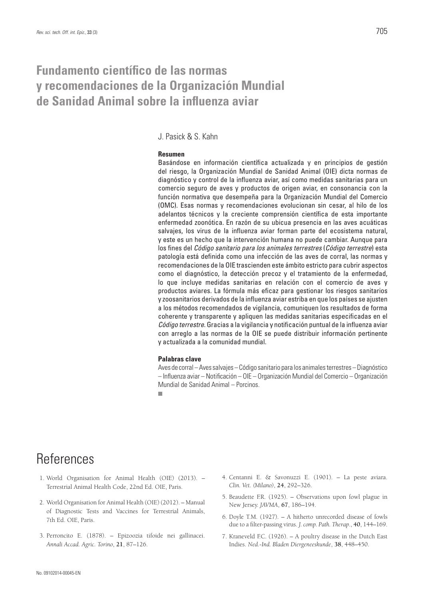## **Fundamento científico de las normas y recomendaciones de la Organización Mundial de Sanidad Animal sobre la influenza aviar**

## J. Pasick & S. Kahn

#### **Resumen**

Basándose en información científica actualizada y en principios de gestión del riesgo, la Organización Mundial de Sanidad Animal (OIE) dicta normas de diagnóstico y control de la influenza aviar, así como medidas sanitarias para un comercio seguro de aves y productos de origen aviar, en consonancia con la función normativa que desempeña para la Organización Mundial del Comercio (OMC). Esas normas y recomendaciones evolucionan sin cesar, al hilo de los adelantos técnicos y la creciente comprensión científica de esta importante enfermedad zoonótica. En razón de su ubicua presencia en las aves acuáticas salvajes, los virus de la influenza aviar forman parte del ecosistema natural, y este es un hecho que la intervención humana no puede cambiar. Aunque para los fines del *Código sanitario para los animales terrestres* (*Código terrestre*) esta patología está definida como una infección de las aves de corral, las normas y recomendaciones de la OIE trascienden este ámbito estricto para cubrir aspectos como el diagnóstico, la detección precoz y el tratamiento de la enfermedad, lo que incluye medidas sanitarias en relación con el comercio de aves y productos aviares. La fórmula más eficaz para gestionar los riesgos sanitarios y zoosanitarios derivados de la influenza aviar estriba en que los países se ajusten a los métodos recomendados de vigilancia, comuniquen los resultados de forma coherente y transparente y apliquen las medidas sanitarias especificadas en el *Código terrestre*. Gracias a la vigilancia y notificación puntual de la influenza aviar con arreglo a las normas de la OIE se puede distribuir información pertinente y actualizada a la comunidad mundial.

#### **Palabras clave**

Aves de corral – Aves salvajes – Código sanitario para los animales terrestres – Diagnóstico – Influenza aviar – Notificación – OIE – Organización Mundial del Comercio – Organización Mundial de Sanidad Animal – Porcinos.

m.

## References

- 1. World Organisation for Animal Health (OIE) (2013). Terrestrial Animal Health Code, 22nd Ed. OIE, Paris.
- 2. World Organisation for Animal Health (OIE) (2012). Manual of Diagnostic Tests and Vaccines for Terrestrial Animals, 7th Ed. OIE, Paris.
- 3. Perroncito E. (1878). Epizoozia tifoide nei gallinacei. *Annali Accad. Agric. Torino*, **21**, 87–126.
- 4. Centanni E. & Savonuzzi E. (1901). La peste aviara. *Clin. Vet. (Milano)*, **24**, 292–326.
- 5. Beaudette F.R. (1925). Observations upon fowl plague in New Jersey. *JAVMA*, **67**, 186–194.
- 6. Doyle T.M. (1927). A hitherto unrecorded disease of fowls due to a filter-passing virus. *J. comp. Path. Therap*., **40**, 144–169.
- 7. Kraneveld F.C. (1926). A poultry disease in the Dutch East Indies. *Ned.-Ind. Bladen Diergeneeskunde*, **38**, 448–450.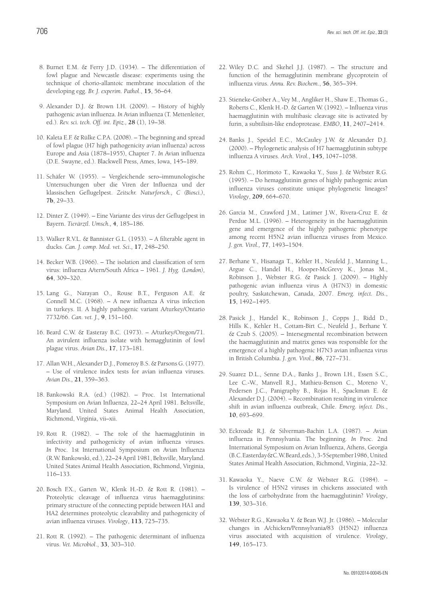- 8. Burnet E.M. & Ferry J.D. (1934). The differentiation of fowl plague and Newcastle disease: experiments using the technique of chorio-allantoic membrane inoculation of the developing egg. *Br. J. experim. Pathol*., **15**, 56–64.
- 9. Alexander D.J. & Brown I.H. (2009). History of highly pathogenic avian influenza. *In* Avian influenza (T. Mettenleiter, ed.). *Rev. sci. tech. Off. int. Epiz.,* **28** (1), 19–38.
- 10. Kaleta E.F. & Rülke C.P.A. (2008). The beginning and spread of fowl plague (H7 high pathogenicity avian influenza) across Europe and Asia (1878–1955), Chapter 7. *In* Avian influenza (D.E. Swayne, ed.). Blackwell Press, Ames, Iowa, 145–189.
- 11. Schäfer W. (1955). Vergleichende sero–immunologische Untersuchungen uber die Viren der Influenza und der klassischen Geflugelpest. *Zeitschr. Naturforsch., C (Biosci.)*, **7b**, 29–33.
- 12. Dinter Z. (1949). Eine Variante des virus der Geflugelpest in Bayern. *Tierärztl*. *Umsch.,* **4**, 185–186.
- 13. Walker R.V.L. & Bannister G.L. (1953). A filterable agent in ducks. *Can. J. comp. Med. vet. Sci*.*,* **17**, 248–250.
- 14. Becker W.B. (1966). The isolation and classification of tern virus: influenza A/tern/South Africa – 1961. *J. Hyg. (London),*  **64**, 309–320.
- 15. Lang G., Narayan O., Rouse B.T., Ferguson A.E. & Connell M.C. (1968). – A new influenza A virus infection in turkeys. II. A highly pathogenic variant A/turkey/Ontario 7732/66. *Can. vet. J.,* **9**, 151–160.
- 16. Beard C.W. & Easteray B.C. (1973). A/turkey/Oregon/71. An avirulent influenza isolate with hemagglutinin of fowl plague virus. *Avian Dis.,* **17**, 173–181.
- 17. Allan W.H., Alexander D.J., Pomeroy B.S. & Parsons G. (1977). – Use of virulence index tests for avian influenza viruses. *Avian Dis.,* **21**, 359–363.
- 18. Bankowski R.A. (ed.) (1982). Proc. 1st International Symposium on Avian Influenza, 22–24 April 1981. Beltsville, Maryland. United States Animal Health Association, Richmond, Virginia, vii–xii.
- 19. Rott R. (1982). The role of the haemagglutinin in infectivity and pathogenicity of avian influenza viruses. *In* Proc. 1st International Symposium on Avian Influenza (R.W. Bankowski, ed.), 22–24 April 1981, Beltsville, Maryland. United States Animal Health Association, Richmond, Virginia, 116–133.
- 20. Bosch F.X., Garten W., Klenk H.-D. & Rott R. (1981). Proteolytic cleavage of influenza virus haemagglutinins: primary structure of the connecting peptide between HA1 and HA2 determines proteolytic cleavability and pathogenicity of avian influenza viruses. *Virology*, **113**, 725–735.
- 21. Rott R. (1992). The pathogenic determinant of influenza virus. *Vet. Microbiol*., **33**, 303–310.
- 22. Wiley D.C. and Skehel J.J. (1987). The structure and function of the hemagglutinin membrane glycoprotein of influenza virus. *Annu. Rev. Biochem.*, **56**, 365–394.
- 23. Stieneke-Gröber A., Vey M., Angliker H., Shaw E., Thomas G., Roberts C., Klenk H.-D. & Garten W. (1992). – Influenza virus haemagglutinin with multibasic cleavage site is activated by furin, a subtilisin-like endoprotease. *EMBO*, **11**, 2407–2414.
- 24. Banks J., Speidel E.C., McCauley J.W. & Alexander D.J. (2000). – Phylogenetic analysis of H7 haemagglutinin subtype influenza A viruses. *Arch. Virol.*, **145**, 1047–1058.
- 25. Rohm C., Horimoto T., Kawaoka Y., Suss J. & Webster R.G. (1995). – Do hemagglutinin genes of highly pathogenic avian influenza viruses constitute unique phylogenetic lineages? *Virology*, **209**, 664–670.
- 26. Garcia M., Crawford J.M., Latimer J.W., Rivera-Cruz E. & Perdue M.L. (1996). – Heterogeneity in the haemagglutinin gene and emergence of the highly pathogenic phenotype among recent H5N2 avian influenza viruses from Mexico. *J. gen. Virol.,* **77**, 1493–1504.
- 27. Berhane Y., Hisanaga T., Kehler H., Neufeld J., Manning L., Argue C., Handel H., Hooper-McGrevy K., Jonas M., Robinson J., Webster R.G. & Pasick J. (2009). – Highly pathogenic avian influenza virus A (H7N3) in domestic poultry, Saskatchewan, Canada, 2007. *Emerg. infect. Dis*., **15**, 1492–1495.
- 28. Pasick J., Handel K., Robinson J., Copps J., Ridd D., Hills K., Kehler H., Cottam-Birt C., Neufeld J., Berhane Y. & Czub S. (2005). – Intersegmental recombination between the haemagglutinin and matrix genes was responsible for the emergence of a highly pathogenic H7N3 avian influenza virus in British Columbia. *J. gen. Virol.*, **86**, 727–731.
- 29. Suarez D.L., Senne D.A., Banks J., Brown I.H., Essen S.C., Lee C.-W., Manvell R.J., Mathieu-Benson C., Moreno V., Pedersen J.C., Panigraphy B., Rojas H., Spackman E. & Alexander D.J. (2004). – Recombination resulting in virulence shift in avian influenza outbreak, Chile. *Emerg. infect. Dis*., **10**, 693–699.
- 30. Eckroade R.J. & Silverman-Bachin L.A. (1987). Avian influenza in Pennsylvania. The beginning. *In* Proc. 2nd International Symposium on Avian Influenza, Athens, Georgia (B.C. Easterday & C.W. Beard, eds.), 3-5 September 1986, United States Animal Health Association, Richmond, Virginia, 22–32.
- 31. Kawaoka Y., Naeve C.W. & Webster R.G. (1984). Is virulence of H5N2 viruses in chickens associated with the loss of carbohydrate from the haemagglutinin? *Virology*, **139**, 303–316.
- 32. Webster R.G., Kawaoka Y. & Bean W.J. Jr. (1986). Molecular changes in A/chicken/Pennsylvania/83 (H5N2) influenza virus associated with acquisition of virulence. *Virology*, **149**, 165–173.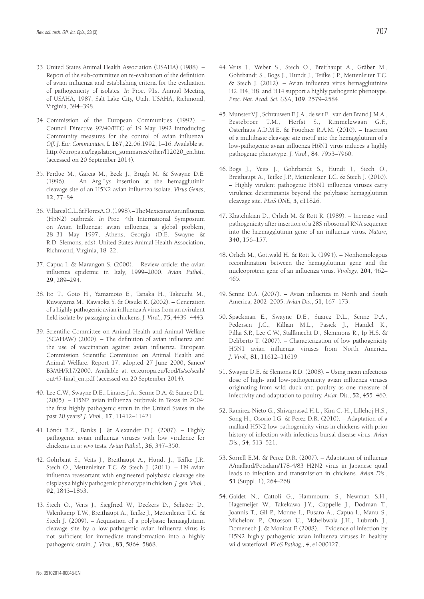- 33. United States Animal Health Association (USAHA) (1988). Report of the sub-committee on re-evaluation of the definition of avian influenza and establishing criteria for the evaluation of pathogenicity of isolates. *In* Proc. 91st Annual Meeting of USAHA, 1987, Salt Lake City, Utah. USAHA, Richmond, Virginia, 394–398.
- 34. Commission of the European Communities (1992). Council Directive 92/40/EEC of 19 May 1992 introducing Community measures for the control of avian influenza. *Off. J. Eur. Communities*, **L 167**, 22.06.1992, 1–16. Available at: http://europa.eu/legislation\_summaries/other/l12020\_en.htm (accessed on 20 September 2014).
- 35. Perdue M., Garcia M., Beck J., Brugh M. & Swayne D.E. (1996). – An Arg-Lys insertion at the hemagglutinin cleavage site of an H5N2 avian influenza isolate. *Virus Genes*, **12**, 77–84.
- 36. Villareal C.L. & Flores A.O. (1998). The Mexican avian influenza (H5N2) outbreak. *In* Proc. 4th International Symposium on Avian Influenza: avian influenza, a global problem, 28–31 May 1997, Athens, Georgia (D.E. Swayne & R.D. Slemons, eds). United States Animal Health Association, Richmond, Virginia, 18–22.
- 37. Capua I. & Marangon S. (2000). Review article: the avian influenza epidemic in Italy, 1999–2000. *Avian Pathol*., **29**, 289–294.
- 38. Ito T., Goto H., Yamamoto E., Tanaka H., Takeuchi M., Kuwayama M., Kawaoka Y. & Otsuki K. (2002). – Generation of a highly pathogenic avian influenza A virus from an avirulent field isolate by passaging in chickens. *J. Virol.,* **75**, 4439–4443.
- 39. Scientific Committee on Animal Health and Animal Welfare (SCAHAW) (2000). – The definition of avian influenza and the use of vaccination against avian influenza*.* European Commission Scientific Committee on Animal Health and Animal Welfare. Report 17, adopted 27 June 2000, Sanco/ B3/AH/R17/2000. Available at: ec.europa.eu/food/fs/sc/scah/ out45-final\_en.pdf (accessed on 20 September 2014).
- 40. Lee C.W., Swayne D.E., Linares J.A., Senne D.A. & Suarez D.L. (2005). – H5N2 avian influenza outbreak in Texas in 2004: the first highly pathogenic strain in the United States in the past 20 years? *J. Virol.,* **17**, 11412–11421.
- 41. Löndt B.Z., Banks J. & Alexander D.J. (2007). Highly pathogenic avian influenza viruses with low virulence for chickens in *in vivo* tests. *Avian Pathol*., **36**, 347–350.
- 42. Gohrbant S., Veits J., Breithaupt A., Hundt J., Teifke J.P., Stech O., Mettenleiter T.C. & Stech J. (2011). – H9 avian influenza reassortant with engineered polybasic cleavage site displays a highly pathogenic phenotype in chicken. *J. gen. Virol*., **92**, 1843–1853.
- 43. Stech O., Veits J., Siegfried W., Deckers D., Schröer D., Valenkamp T.W., Breithaupt A., Teifke J., Mettenleiter T.C. & Stech J. (2009). – Acquisition of a polybasic hemagglutinin cleavage site by a low-pathogenic avian influenza virus is not sufficient for immediate transformation into a highly pathogenic strain. *J. Virol*., **83**, 5864–5868.
- 44. Veits J., Weber S., Stech O., Breithaupt A., Gräber M., Gohrbandt S., Bogs J., Hundt J., Teifke J.P., Mettenleiter T.C. & Stech J. (2012). – Avian influenza virus hemagglutinins H2, H4, H8, and H14 support a highly pathogenic phenotype. *Proc. Nat. Acad. Sci. USA*, **109**, 2579–2584.
- 45. Munster V.J., Schrauwen E.J.A., de wit E., van den Brand J.M.A., Bestebroer T.M., Herfst S., Rimmelzwaan G.F., Osterhaus A.D.M.E. & Fouchier R.A.M. (2010). – Insertion of a multibasic cleavage site motif into the hemagglutinin of a low-pathogenic avian influenza H6N1 virus induces a highly pathogenic phenotype. *J. Virol*., **84**, 7953–7960.
- 46. Bogs J., Veits J., Gohrbandt S., Hundt J., Stech O., Breithaupt A., Teifke J.P., Mettenleiter T.C. & Stech J. (2010). – Highly virulent pathogenic H5N1 influenza viruses carry virulence determinants beyond the polybasic hemagglutinin cleavage site. *PLoS ONE*, **5**, e11826.
- 47. Khatchikian D., Orlich M. & Rott R. (1989). Increase viral pathogenicity after insertion of a 28S ribosomal RNA sequence into the haemagglutinin gene of an influenza virus. *Nature*, **340**, 156–157.
- 48. Orlich M., Gottwald H. & Rott R. (1994). Nonhomologous recombination between the hemagglutinin gene and the nucleoprotein gene of an influenza virus. *Virology*, **204**, 462– 465.
- 49. Senne D.A. (2007). Avian influenza in North and South America, 2002–2005. *Avian Dis*., **51**, 167–173.
- 50. Spackman E., Swayne D.E., Suarez D.L., Senne D.A., Pedersen J.C., Killian M.L., Pasick J., Handel K., Pillai S.P., Lee C.W., Stallknecht D., Slemmons R., Ip H.S. & Deliberto T. (2007). – Characterization of low pathogenicity H5N1 avian influenza viruses from North America. *J. Virol.,* **81**, 11612–11619.
- 51. Swayne D.E. & Slemons R.D. (2008). Using mean infectious dose of high- and low-pathogenicity avian influenza viruses originating from wild duck and poultry as one measure of infectivity and adaptation to poultry. *Avian Dis*., **52**, 455–460.
- 52. Ramirez-Nieto G., Shivaprasad H.L., Kim C.-H., Lillehoj H.S., Song H., Osorio I.G. & Perez D.R. (2010). – Adaptation of a mallard H5N2 low pathogenicity virus in chickens with prior history of infection with infectious bursal disease virus. *Avian Dis*., **54**, 513–521.
- 53. Sorrell E.M. & Perez D.R. (2007). Adaptation of influenza A/mallard/Potsdam/178-4/83 H2N2 virus in Japanese quail leads to infection and transmission in chickens. *Avian Dis*., **51** (Suppl. 1), 264–268.
- 54. Gaidet N., Cattoli G., Hammoumi S., Newman S.H., Hagemeijer W., Takekawa J.Y., Cappelle J., Dodman T., Joannis T., Gil P., Monne I., Fusaro A., Capua I., Manu S., Micheloni P., Ottosson U., Mshelbwala J.H., Lubroth J., Domenech J. & Monicat F. (2008). – Evidence of infection by H5N2 highly pathogenic avian influenza viruses in healthy wild waterfowl. *PLoS Pathog*., **4**, e1000127.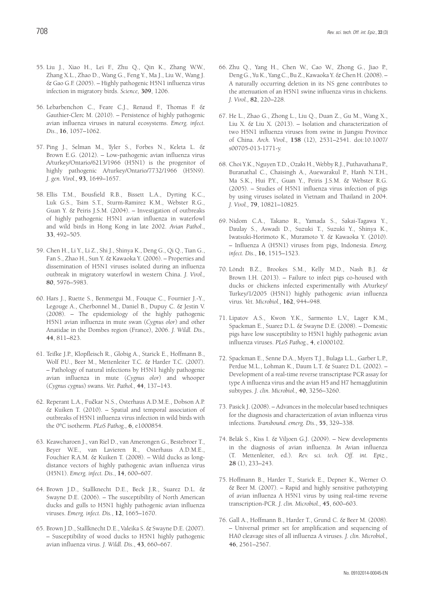- 55. Liu J., Xiao H., Lei F., Zhu Q., Qin K., Zhang W.W., Zhang X.L., Zhao D., Wang G., Feng Y., Ma J., Liu W., Wang J. & Gao G.F. (2005). – Highly pathogenic H5N1 influenza virus infection in migratory birds. *Science,* **309**, 1206.
- 56. Lebarbenchon C., Feare C.J., Renaud F., Thomas F. & Gauthier-Clerc M. (2010). – Persistence of highly pathogenic avian influenza viruses in natural ecosystems. *Emerg. infect. Dis*., **16**, 1057–1062.
- 57. Ping J., Selman M., Tyler S., Forbes N., Keleta L. & Brown E.G. (2012). – Low-pathogenic avian influenza virus A/turkey/Ontario/6213/1966 (H5N1) is the progenitor of highly pathogenic A/turkey/Ontario/7732/1966 (H5N9). *J. gen. Virol.,* **93**, 1649–1657.
- 58. Ellis T.M., Bousfield R.B., Bissett L.A., Dyrting K.C., Luk G.S., Tsim S.T., Sturm-Ramirez K.M., Webster R.G., Guan Y. & Peiris J.S.M. (2004). – Investigation of outbreaks of highly pathogenic H5N1 avian influenza in waterfowl and wild birds in Hong Kong in late 2002. *Avian Pathol*., **33**, 492–505.
- 59. Chen H., Li Y., Li Z., Shi J., Shinya K., Deng G., Qi Q., Tian G., Fan S., Zhao H., Sun Y. & Kawaoka Y. (2006). – Properties and dissemination of H5N1 viruses isolated during an influenza outbreak in migratory waterfowl in western China. *J. Virol.,* **80**, 5976–5983.
- 60. Hars J., Ruette S., Benmergui M., Fouque C., Fournier J.-Y., Legouge A., Cherbonnel M., Daniel B., Dupuy C. & Jestin V. (2008). – The epidemiology of the highly pathogenic H5N1 avian influenza in mute swan (*Cygnus olor*) and other Anatidae in the Dombes region (France), 2006. *J. Wildl. Dis.,* **44**, 811–823.
- 61. Teifke J.P., Klopfleisch R., Globig A., Starick E., Hoffmann B., Wolf P.U., Beer M., Mettenleiter T.C. & Harder T.C. (2007). – Pathology of natural infections by H5N1 highly pathogenic avian influenza in mute (*Cygnus olor*) and whooper (*Cygnus cygnus*) swans. *Vet. Pathol.,* **44**, 137–143.
- 62. Reperant L.A., Fučkar N.S., Osterhaus A.D.M.E., Dobson A.P. & Kuiken T. (2010). – Spatial and temporal association of outbreaks of H5N1 influenza virus infection in wild birds with the 0°C isotherm. *PLoS Pathog*.*,* **6**, e1000854.
- 63. Keawcharoen J., van Riel D., van Amerongen G., Bestebroer T., Beyer W.E., van Lavieren R., Osterhaus A.D.M.E., Fouchier R.A.M. & Kuiken T. (2008). – Wild ducks as longdistance vectors of highly pathogenic avian influenza virus (H5N1). *Emerg. infect. Dis*., **14**, 600–607.
- 64. Brown J.D., Stallknecht D.E., Beck J.R., Suarez D.L. & Swayne D.E. (2006). – The susceptibility of North American ducks and gulls to H5N1 highly pathogenic avian influenza viruses. *Emerg. infect. Dis.*, **12**, 1665–1670.
- 65. Brown J.D., Stallknecht D.E., Valeika S. & Swayne D.E. (2007). – Susceptibility of wood ducks to H5N1 highly pathogenic avian influenza virus. *J. Wildl. Dis*., **43**, 660–667.
- 66. Zhu Q., Yang H., Chen W., Cao W., Zhong G., Jiao P., Deng G., Yu K., Yang C., Bu Z., Kawaoka Y. & Chen H. (2008). – A naturally occurring deletion in its NS gene contributes to the attenuation of an H5N1 swine influenza virus in chickens. *J. Virol.,* **82**, 220–228.
- 67. He L., Zhao G., Zhong L., Liu Q., Duan Z., Gu M., Wang X., Liu X. & Liu X. (2013). – Isolation and characterization of two H5N1 influenza viruses from swine in Jiangsu Province of China. *Arch. Virol.,* **158** (12), 2531–2541. doi:10.1007/ s00705-013-1771-y.
- 68. Choi Y.K., Nguyen T.D., Ozaki H., Webby R.J., Puthavathana P., Buranathal C., Chaisingh A., Auewarakul P., Hanh N.T.H., Ma S.K., Hui P.Y., Guan Y., Peiris J.S.M. & Webster R.G. (2005). – Studies of H5N1 influenza virus infection of pigs by using viruses isolated in Vietnam and Thailand in 2004. *J. Virol.,* **79**, 10821–10825.
- 69. Nidom C.A., Takano R., Yamada S., Sakai-Tagawa Y., Daulay S., Aswadi D., Suzuki T., Suzuki Y., Shinya K., Iwatsuki-Horimoto K., Muramoto Y. & Kawaoka Y. (2010). – Influenza A (H5N1) viruses from pigs, Indonesia. *Emerg. infect. Dis*., **16**, 1515–1523.
- 70. Löndt B.Z., Brookes S.M., Kelly M.D., Nash B.J. & Brown I.H. (2013). – Failure to infect pigs co-housed with ducks or chickens infected experimentally with A/turkey/ Turkey/1/2005 (H5N1) highly pathogenic avian influenza virus. *Vet. Microbiol.,* **162**, 944–948.
- 71. Lipatov A.S., Kwon Y.K., Sarmento L.V., Lager K.M., Spackman E., Suarez D.L. & Swayne D.E. (2008). – Domestic pigs have low susceptibility to H5N1 highly pathogenic avian influenza viruses. *PLoS Pathog.,* **4**, e1000102.
- 72. Spackman E., Senne D.A., Myers T.J., Bulaga L.L., Garber L.P., Perdue M.L., Lohman K., Daum L.T. & Suarez D.L. (2002). – Development of a real-time reverse transcriptase PCR assay for type A influenza virus and the avian H5 and H7 hemagglutinin subtypes. *J. clin. Microbiol.,* **40**, 3256–3260.
- 73. Pasick J. (2008). Advances in the molecular based techniques for the diagnosis and characterization of avian influenza virus infections. *Transbound. emerg. Dis*., **55**, 329–338.
- 74. Belák S., Kiss I. & Viljoen G.J. (2009). New developments in the diagnosis of avian influenza. *In* Avian influenza (T. Mettenleiter, ed.). *Rev. sci. tech. Off. int. Epiz.*, **28** (1), 233–243.
- 75. Hoffmann B., Harder T., Starick E., Depner K., Werner O. & Beer M. (2007). – Rapid and highly sensitive pathotyping of avian influenza A H5N1 virus by using real-time reverse transcription-PCR. *J. clin. Microbiol.,* **45**, 600–603.
- 76. Gall A., Hoffmann B., Harder T., Grund C. & Beer M. (2008). – Universal primer set for amplification and sequencing of HA0 cleavage sites of all influenza A viruses. *J. clin. Microbiol.,*  **46**, 2561–2567.